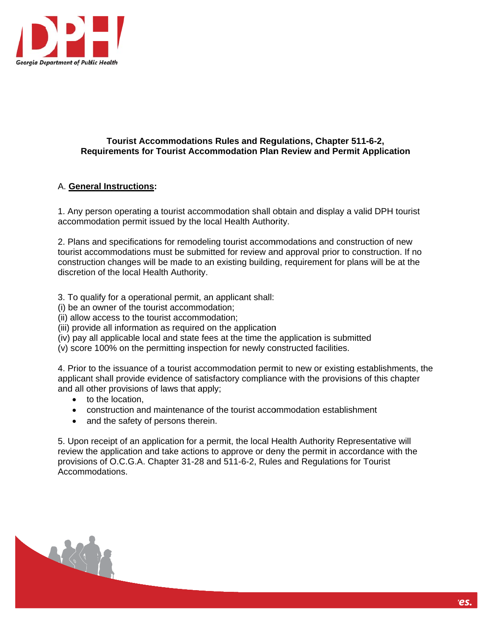

## **Requirements for Tourist Accommodation Plan Review and Permit Application Tourist Accommodations Rules and Regulations, Chapter 511-6-2,**

## A. **General Instructions:**

1. Any person operating a tourist accommodation shall obtain and display a valid DPH tourist accommodation permit issued by the local Health Authority.

2. Plans and specifications for remodeling tourist accommodations and construction of new tourist accommodations must be submitted for review and approval prior to construction. If no construction changes will be made to an existing building, requirement for plans will be at the discretion of the local Health Authority.

3. To qualify for a operational permit, an applicant shall:

- (i) be an owner of the tourist accommodation;
- (ii) allow access to the tourist accommodation;
- (iii) provide all information as required on the application
- (iv) pay all applicable local and state fees at the time the application is submitted
- (v) score 100% on the permitting inspection for newly constructed facilities.

(iv) pay all applicable local and state fees at the time the application is submitted<br>(v) score 100% on the permitting inspection for newly constructed facilities.<br>4. Prior to the issuance of a tourist accommodation permit applicant shall provide evidence of satisfactory compliance with the provisions of this chapter and all other provisions of laws that apply;

- to the location,
- construction and maintenance of the tourist accommodation establishment
- and the safety of persons therein.

5. Upon receipt of an application for a permit, the local Health Authority Representative will review the application and take actions to approve or deny the permit in accordance with the provisions of O.C.G.A. Chapter 31-28 and 511-6-2, Rules and Regulations for Tourist Accomm odations.

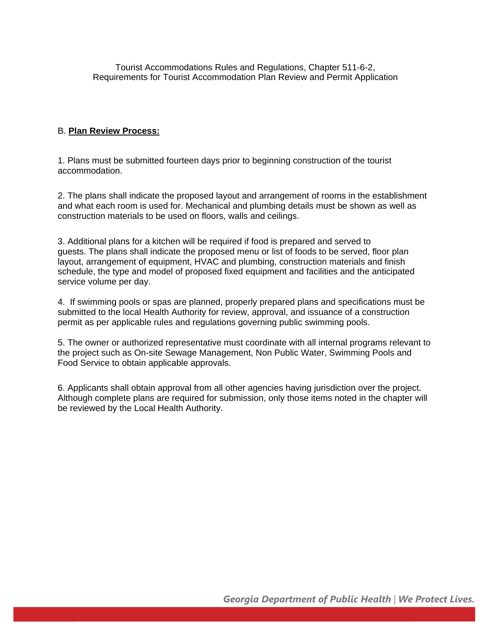Tourist Accommodations Rules and Regulations, Chapter 511-6-2, Requirements for Tourist Accommodation Plan Review and Permit Application

## B. **Plan Review Process:**

1. Plans must be submitted fourteen days prior to beginning construction of the tourist accommodation.

2. The plans shall indicate the proposed layout and arrangement of rooms in the establishment and what each room is used for. Mechanical and plumbing details must be shown as well as construction materials to be used on floors, walls and ceilings.

3. Additional plans for a kitchen will be required if food is prepared and served to guests. The plans shall indicate the proposed menu or list of foods to be served, floor plan layout, arrangement of equipment, HVAC and plumbing, construction materials and finish schedule, the type and model of proposed fixed equipment and facilities and the anticipated service volume per day.

4. If swimming pools or spas are planned, properly prepared plans and specifications must be submitted to the local Health Authority for review, approval, and issuance of a construction permit as per applicable rules and regulations governing public swimming pools.

5. The owner or authorized representative must coordinate with all internal programs relevant to the project such as On-site Sewage Management, Non Public Water, Swimming Pools and Food Service to obtain applicable approvals.

6. Applicants shall obtain approval from all other agencies having jurisdiction over the project. Although complete plans are required for submission, only those items noted in the chapter will be reviewed by the Local Health Authority.